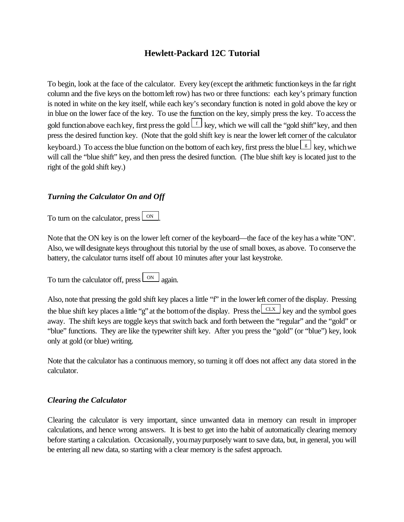# **Hewlett-Packard 12C Tutorial**

To begin, look at the face of the calculator. Every key(except the arithmetic functionkeys in the far right column and the five keys on the bottomleft row) has two or three functions: each key's primary function is noted in white on the key itself, while each key's secondary function is noted in gold above the key or in blue on the lower face of the key. To use the function on the key, simply press the key. To access the gold function above each key, first press the gold  $\lfloor f \rfloor$  key, which we will call the "gold shift" key, and then press the desired function key. (Note that the gold shift key is near the lowerleft corner of the calculator keyboard.) To access the blue function on the bottom of each key, first press the blue  $\frac{g}{g}$  key, which we will call the "blue shift" key, and then press the desired function. (The blue shift key is located just to the right of the gold shift key.)

#### *Turning the Calculator On and Off*

To turn on the calculator, press  $\sqrt{\frac{ON}{N}}$ .

Note that the ON key is on the lower left corner of the keyboard—the face of the keyhas a white "ON". Also, we willdesignate keys throughout this tutorial by the use of small boxes, as above. To conserve the battery, the calculator turns itself off about 10 minutes after your last keystroke.

To turn the calculator off, press  $\overline{\circ}$  again.

Also, note that pressing the gold shift key places a little "f" in the lowerleft corner ofthe display. Pressing the blue shift key places a little "g" at the bottom of the display. Press the  $\sqrt{CLX}$  key and the symbol goes away. The shift keys are toggle keys that switch back and forth between the "regular" and the "gold" or "blue" functions. They are like the typewriter shift key. After you press the "gold" (or "blue") key, look only at gold (or blue) writing.

Note that the calculator has a continuous memory, so turning it off does not affect any data stored in the calculator.

#### *Clearing the Calculator*

Clearing the calculator is very important, since unwanted data in memory can result in improper calculations, and hence wrong answers. It is best to get into the habit of automatically clearing memory before starting a calculation. Occasionally, youmaypurposely want to save data, but, in general, you will be entering all new data, so starting with a clear memory is the safest approach.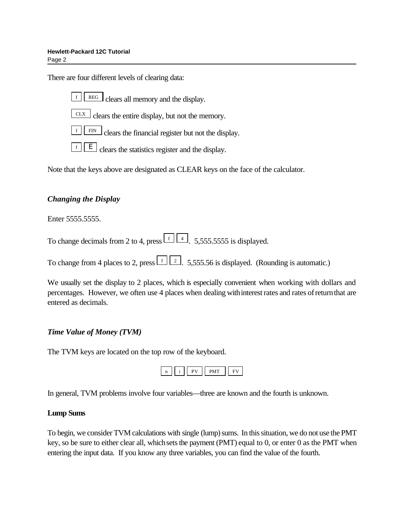There are four different levels of clearing data:

- $\lceil f \rceil$  REG clears all memory and the display.
- $\frac{CLX}{C}$  clears the entire display, but not the memory.
- $\overline{f}$  FIN clears the financial register but not the display.
- $\boxed{f}$   $\boxed{E}$  clears the statistics register and the display.

Note that the keys above are designated as CLEAR keys on the face of the calculator.

# *Changing the Display*

Enter 5555.5555.

To change decimals from 2 to 4, press  $\boxed{f}$   $\boxed{4}$ . 5,555.5555 is displayed.

To change from 4 places to 2, press  $\boxed{f}$   $\boxed{2}$ . 5,555.56 is displayed. (Rounding is automatic.)

We usually set the display to 2 places, which is especially convenient when working with dollars and percentages. However, we often use 4 places when dealing with interest rates and rates of return that are entered as decimals.

# *Time Value of Money (TVM)*

The TVM keys are located on the top row of the keyboard.

|--|--|--|--|

In general, TVM problems involve four variables—three are known and the fourth is unknown.

# **Lump Sums**

To begin, we consider TVM calculations with single (lump) sums. In this situation, we do not use the PMT key, so be sure to either clear all, which sets the payment (PMT) equal to 0, or enter 0 as the PMT when entering the input data. If you know any three variables, you can find the value of the fourth.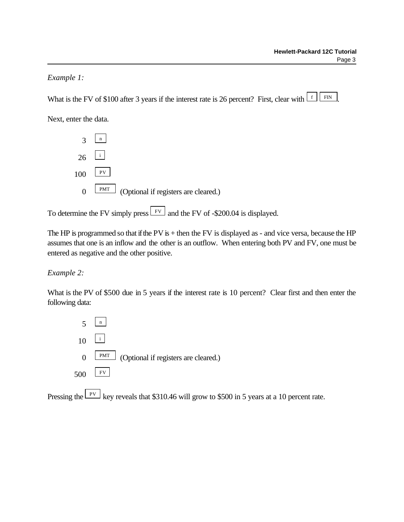### *Example 1:*

What is the FV of \$100 after 3 years if the interest rate is 26 percent? First, clear with  $\boxed{f}$  $FIN$ 

Next, enter the data.



To determine the FV simply press  $\lfloor$  FV  $\rfloor$  and the FV of -\$200.04 is displayed.

The HP is programmed so that if the PV is + then the FV is displayed as - and vice versa, because the HP assumes that one is an inflow and the other is an outflow. When entering both PV and FV, one must be entered as negative and the other positive.

# *Example 2:*

What is the PV of \$500 due in 5 years if the interest rate is 10 percent? Clear first and then enter the following data:



Pressing the  $\boxed{\frac{\text{pv}}{\text{pv}}}$  key reveals that \$310.46 will grow to \$500 in 5 years at a 10 percent rate.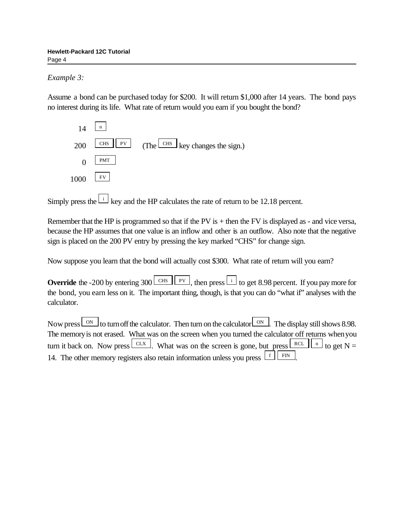# *Example 3:*

Assume a bond can be purchased today for \$200. It will return \$1,000 after 14 years. The bond pays no interest during its life. What rate of return would you earn if you bought the bond?



Simply press the  $\lfloor \frac{i}{r} \rfloor$  key and the HP calculates the rate of return to be 12.18 percent.

Remember that the HP is programmed so that if the PV is  $+$  then the FV is displayed as - and vice versa, because the HP assumes that one value is an inflow and other is an outflow. Also note that the negative sign is placed on the 200 PV entry by pressing the key marked "CHS" for change sign.

Now suppose you learn that the bond will actually cost \$300. What rate of return will you earn?

**Override** the -200 by entering 300  $\left[\begin{array}{c|c|c|c} \text{CHS} & \text{PV} \end{array}\right]$ , then press  $\left[\begin{array}{c|c|c} \text{i} & \text{j} & \text{c} \text{get } 8.98 \text{ percent.} \end{array}\right]$  If you pay more for the bond, you earn less on it. The important thing, though, is that you can do "what if" analyses with the calculator.

| Now press $\frac{ \text{ON} }{ \text{ON} }$ to turn off the calculator. Then turn on the calculator $\frac{ \text{ON} }{ \text{ON} }$ . The display still shows 8.98. |
|-----------------------------------------------------------------------------------------------------------------------------------------------------------------------|
| The memory is not erased. What was on the screen when you turned the calculator off returns when you                                                                  |
| turn it back on. Now press $\lfloor$ CLX $\rfloor$ . What was on the screen is gone, but press $\lfloor$ RCL $\lfloor$ n to get N =                                   |
| 14. The other memory registers also retain information unless you press $\lfloor f \rfloor \lfloor f \sqrt{m} \rfloor$ .                                              |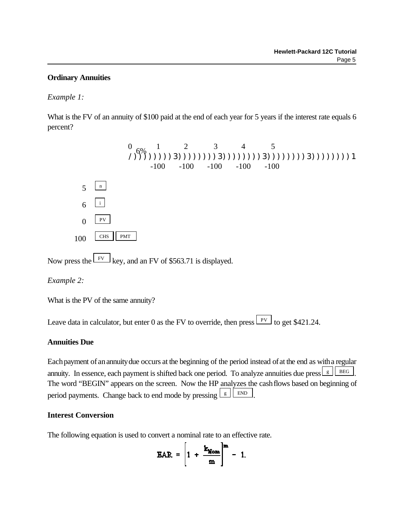### **Ordinary Annuities**

### *Example 1:*

What is the FV of an annuity of \$100 paid at the end of each year for 5 years if the interest rate equals 6 percent?



Now press the  $k_{\text{FV}}$  key, and an FV of \$563.71 is displayed.

*Example 2:*

What is the PV of the same annuity?

Leave data in calculator, but enter 0 as the FV to override, then press  $\vert \frac{PV}{d} \vert$  to get \$421.24.

#### **Annuities Due**

Each payment of an annuity due occurs at the beginning of the period instead of at the end as with a regular annuity. In essence, each payment is shifted back one period. To analyze annuities due press  $\boxed{\underline{\mathbf{g}}}$ g BEG The word "BEGIN" appears on the screen. Now the HP analyzes the cashflows based on beginning of period payments. Change back to end mode by pressing  $\boxed{\underline{s}}$ .  $\ensuremath{\mathrm{END}}$ 

# **Interest Conversion**

The following equation is used to convert a nominal rate to an effective rate.

$$
\text{EAR} = \left[1 + \frac{k_{\text{Nom}}}{m}\right]^m - 1.
$$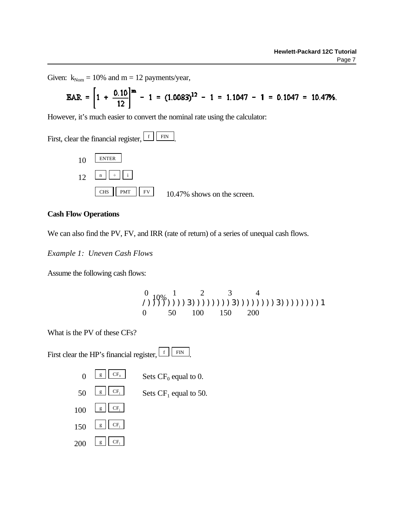Given:  $k_{\text{Nom}} = 10\%$  and  $m = 12$  payments/year,

$$
EAR = \left[1 + \frac{0.10}{12}\right]^{m} - 1 = (1.0083)^{12} - 1 = 1.1047 - 1 = 0.1047 = 10.47\%.
$$

However, it's much easier to convert the nominal rate using the calculator:

First, clear the financial register,  $\frac{f}{f}$  ${\rm FIN}$ 



#### **Cash Flow Operations**

We can also find the PV, FV, and IRR (rate of return) of a series of unequal cash flows.

*Example 1: Uneven Cash Flows*

Assume the following cash flows:

$$
\begin{array}{cccc}\n0 & 1 & 2 & 3 & 4 \\
(2) & 10\% & 1 & 2 \\
(3) & 1 & 3 & 3 \\
(4) & 1 & 1 & 3 \\
(5) & 1 & 1 & 1 \\
(6) & 5 & 1 & 1 & 1 \\
(7) & 1 & 1 & 1 & 1 \\
(8) & 1 & 1 & 1 & 1 \\
(9) & 1 & 1 & 1 & 1 \\
(10) & 1 & 1 & 1 & 1 \\
(20) & 1 & 1 & 1 & 1 \\
(30) & 1 & 1 & 1 & 1 \\
(40) & 1 & 1 & 1 & 1 \\
(50) & 1 & 1 & 1 & 1 \\
(60) & 1 & 1 & 1 & 1 \\
(70) & 1 & 1 & 1 & 1 \\
(80) & 1 & 1 & 1 & 1 \\
(90) & 1 & 1 & 1 & 1 \\
(10) & 1 & 1 & 1 & 1 \\
(11) & 1 & 1 & 1 & 1 \\
(12) & 1 & 1 & 1 & 1 \\
(13) & 1 & 1 & 1 & 1 \\
(14) & 1 & 1 & 1 & 1 \\
(15) & 1 & 1 & 1 & 1 \\
(16) & 1 & 1 & 1 & 1 \\
(17) & 1 & 1 & 1 & 1 \\
(18) & 1 & 1 & 1 & 1 \\
(19) & 1 & 1 & 1 & 1 \\
(10) & 1 & 1 & 1 & 1 \\
(11) & 1 & 1 & 1 & 1 \\
(12) & 1 & 1 & 1 & 1 \\
(13) & 1 & 1 & 1 & 1 \\
(14) & 1 & 1 & 1 & 1 \\
(15) & 1 & 1 & 1 & 1 \\
(16) & 1 & 1 & 1 & 1 \\
(17) & 1 & 1 & 1 & 1 \\
(19) & 1 & 1 & 1 & 1 \\
(10) & 1 & 1 & 1 & 1 \\
(11) & 1 & 1 & 1 & 1 \\
(12) & 1 & 1 & 1 & 1 \\
(13) & 1 & 1 & 1 & 1 \\
(14) & 1 & 1 & 1 & 1 \\
(15) & 1 & 1 & 1 & 1 \\
(16) & 1 & 1 & 1 & 1 \\
(17) & 1 & 1 & 1 & 1 \\
(18) & 1
$$

What is the PV of these CFs?

First clear the HP's financial register,  $\lfloor f \rfloor$  FIN.

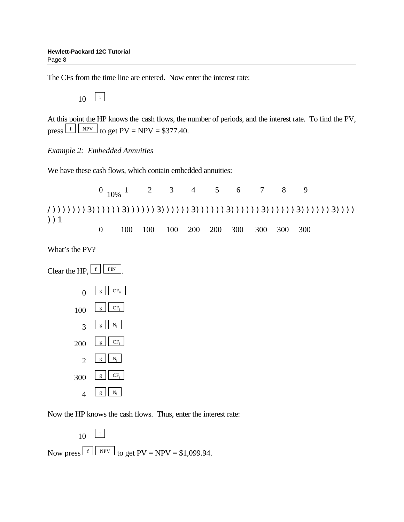The CFs from the time line are entered. Now enter the interest rate:

 $10^{1}$ 

At this point the HP knows the cash flows, the number of periods, and the interest rate. To find the PV, press  $\boxed{\text{f}}$  NPV to get PV = NPV = \$377.40.

*Example 2: Embedded Annuities*

We have these cash flows, which contain embedded annuities:

 0 10% 1 2 3 4 5 6 7 8 9 /)))))))3))))))3))))))3))))))3))))))3))))))3))))))3))))))3)))) ))1 0 100 100 100 200 200 300 300 300 300

What's the PV?



Now the HP knows the cash flows. Thus, enter the interest rate:

 $10\left[\frac{1}{1}\right]$ Now press  $f \cdot \frac{f}{f}$  NPV  $f$  to get PV = NPV = \$1,099.94.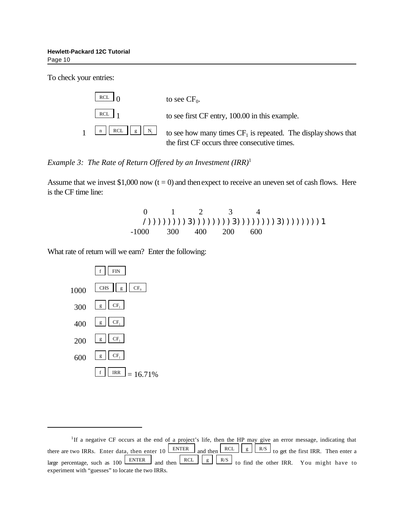To check your entries:



*Example 3: The Rate of Return Offered by an Investment (IRR)*<sup>1</sup>

Assume that we invest \$1,000 now  $(t = 0)$  and then expect to receive an uneven set of cash flows. Here is the CF time line:

$$
\begin{array}{cccc} 0 & 1 & 2 & 3 & 4 \\ & & (1)11111 & 2 & 3 & 4 \\ & & & (2)111111 & 3 & 3 & 1 \\ -1000 & 300 & 400 & 200 & 600 \end{array}
$$

What rate of return will we earn? Enter the following:



<sup>&</sup>lt;sup>1</sup>If a negative CF occurs at the end of a project's life, then the HP may give an error message, indicating that there are two IRRs. Enter data, then enter 10 ENTER and then  $RCL$   $g||R/S$  to get the first IRR. Then enter a large percentage, such as 100 and then to find the other IRR. You might have to ENTER RCL <sup>g</sup> R/S experiment with "guesses" to locate the two IRRs.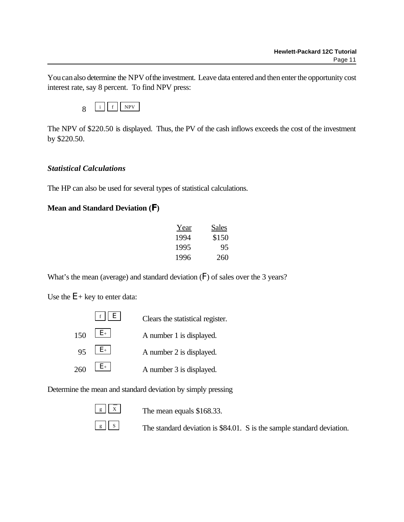Youcanalso determine the NPV ofthe investment. Leave data entered and then enter the opportunity cost interest rate, say 8 percent. To find NPV press:

|--|--|--|

The NPV of \$220.50 is displayed. Thus, the PV of the cash inflows exceeds the cost of the investment by \$220.50.

### *Statistical Calculations*

The HP can also be used for several types of statistical calculations.

# **Mean and Standard Deviation (F)**

| Year | Sales |
|------|-------|
| 1994 | \$150 |
| 1995 | 95    |
| 1996 | 260   |

What's the mean (average) and standard deviation  $(F)$  of sales over the 3 years?

Use the  $E+$  key to enter data:



Determine the mean and standard deviation by simply pressing

| a |  |
|---|--|

The mean equals  $$168.33$ .

The standard deviation is  $$84.01$ . S is the sample standard deviation.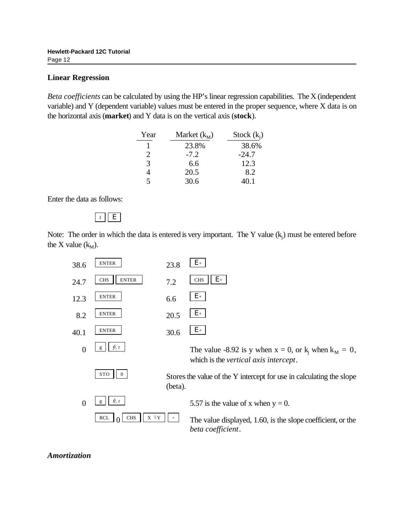### **Linear Regression**

*Beta coefficients* can be calculated by using the HP's linear regression capabilities. The X (independent variable) and Y (dependent variable) values must be entered in the proper sequence, where X data is on the horizontal axis (**market**) and Y data is on the vertical axis (**stock**).

| Year | Market $(k_M)$ | Stock $(k_i)$ |
|------|----------------|---------------|
|      | 23.8%          | 38.6%         |
| ∍    | $-7.2$         | $-24.7$       |
| 3    | 6.6            | 12.3          |
|      | 20.5           | 8.2           |
|      | 30.6           | 0 I           |

Enter the data as follows:



Note: The order in which the data is entered is very important. The Y value  $(k_j)$  must be entered before the X value  $(k_M)$ .



*Amortization*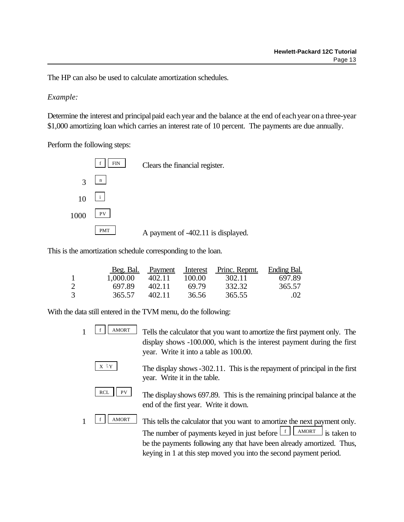The HP can also be used to calculate amortization schedules.

*Example:*

Determine the interest and principal paid each year and the balance at the end of each year on a three-year \$1,000 amortizing loan which carries an interest rate of 10 percent. The payments are due annually.

Perform the following steps:



This is the amortization schedule corresponding to the loan.

|   |          |        |        | <u>Beg. Bal. Payment Interest Princ. Repmt. Ending Bal.</u> |        |
|---|----------|--------|--------|-------------------------------------------------------------|--------|
|   | 1,000.00 | 402.11 | 100.00 | 302.11                                                      | 697.89 |
| 2 | 697.89   | 402.11 | 69.79  | 332.32                                                      | 365.57 |
| 3 | 365.57   | 402.11 | 36.56  | 365.55                                                      | .02    |

With the data still entered in the TVM menu, do the following:

 $\frac{f}{f}$   $\frac{f}{f}$  AMORT Tells the calculator that you want to amortize the first payment only. The display shows -100.000, which is the interest payment during the first year. Write it into a table as 100.00.

 $X \geq Y$ 

The display shows  $-302.11$ . This is the repayment of principal in the first year. Write it in the table.

 $\text{RCL}$  PV The display shows 697.89. This is the remaining principal balance at the end of the first year. Write it down.

 $1 \quad \boxed{\text{f}}$  AMORT This tells the calculator that you want to amortize the next payment only. The number of payments keyed in just before  $\lfloor f \rfloor$   $\lfloor$  AMORT $\rfloor$  is taken to be the payments following any that have been already amortized. Thus, keying in 1 at this step moved you into the second payment period.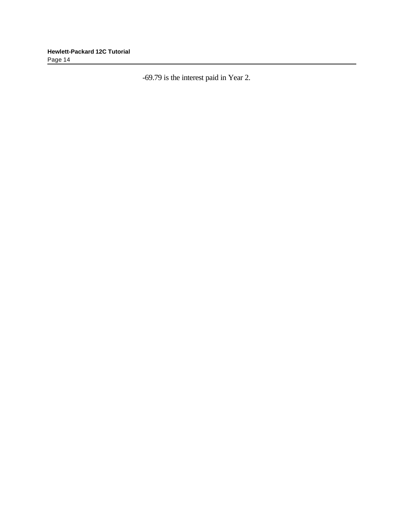-69.79 is the interest paid in Year 2.